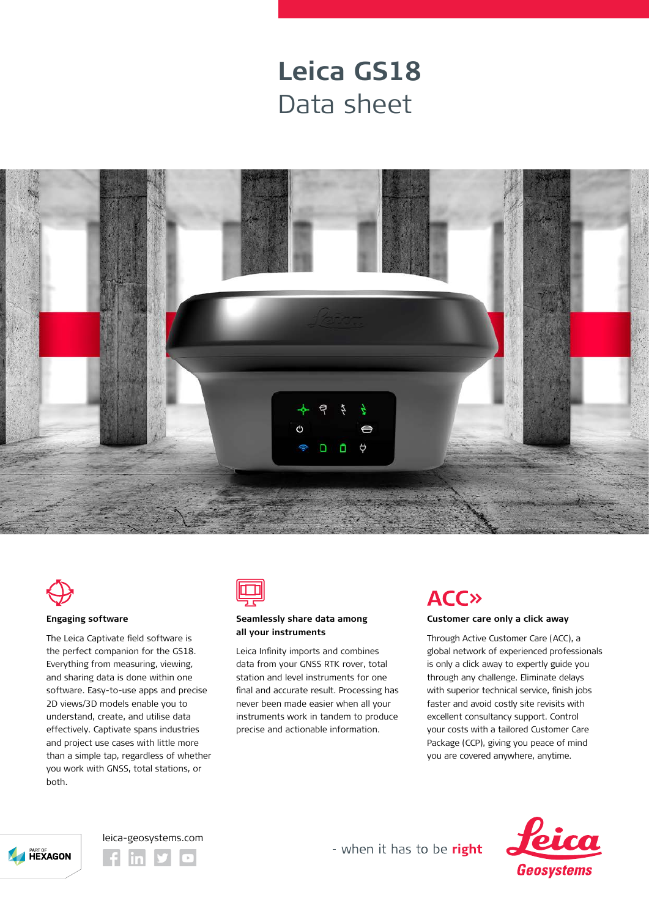## **Leica GS18** Data sheet





### **Engaging software**

The Leica Captivate field software is the perfect companion for the GS18. Everything from measuring, viewing, and sharing data is done within one software. Easy-to-use apps and precise 2D views/3D models enable you to understand, create, and utilise data effectively. Captivate spans industries and project use cases with little more than a simple tap, regardless of whether you work with GNSS, total stations, or both.



### **Seamlessly share data among all your instruments**

Leica Infinity imports and combines data from your GNSS RTK rover, total station and level instruments for one final and accurate result. Processing has never been made easier when all your instruments work in tandem to produce precise and actionable information.

## **ACC»**

### **Customer care only a click away**

Through Active Customer Care (ACC), a global network of experienced professionals is only a click away to expertly guide you through any challenge. Eliminate delays with superior technical service, finish jobs faster and avoid costly site revisits with excellent consultancy support. Control your costs with a tailored Customer Care Package (CCP), giving you peace of mind you are covered anywhere, anytime.







- when it has to be right